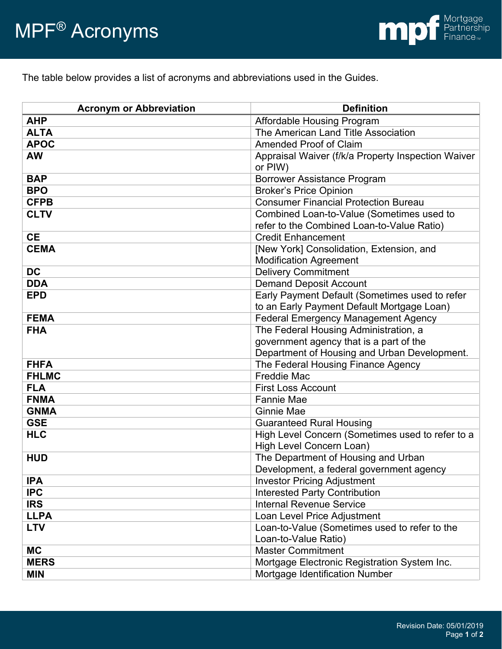The table below provides a list of acronyms and abbreviations used in the Guides.

| <b>Acronym or Abbreviation</b> | <b>Definition</b>                                  |
|--------------------------------|----------------------------------------------------|
| <b>AHP</b>                     | Affordable Housing Program                         |
| <b>ALTA</b>                    | The American Land Title Association                |
| <b>APOC</b>                    | <b>Amended Proof of Claim</b>                      |
| <b>AW</b>                      | Appraisal Waiver (f/k/a Property Inspection Waiver |
|                                | or PIW)                                            |
| <b>BAP</b>                     | <b>Borrower Assistance Program</b>                 |
| <b>BPO</b>                     | <b>Broker's Price Opinion</b>                      |
| <b>CFPB</b>                    | <b>Consumer Financial Protection Bureau</b>        |
| <b>CLTV</b>                    | Combined Loan-to-Value (Sometimes used to          |
|                                | refer to the Combined Loan-to-Value Ratio)         |
| <b>CE</b>                      | <b>Credit Enhancement</b>                          |
| <b>CEMA</b>                    | [New York] Consolidation, Extension, and           |
|                                | <b>Modification Agreement</b>                      |
| <b>DC</b>                      | <b>Delivery Commitment</b>                         |
| <b>DDA</b>                     | <b>Demand Deposit Account</b>                      |
| <b>EPD</b>                     | Early Payment Default (Sometimes used to refer     |
|                                | to an Early Payment Default Mortgage Loan)         |
| <b>FEMA</b>                    | <b>Federal Emergency Management Agency</b>         |
| <b>FHA</b>                     | The Federal Housing Administration, a              |
|                                | government agency that is a part of the            |
|                                | Department of Housing and Urban Development.       |
| <b>FHFA</b>                    | The Federal Housing Finance Agency                 |
| <b>FHLMC</b>                   | <b>Freddie Mac</b>                                 |
| <b>FLA</b>                     | <b>First Loss Account</b>                          |
| <b>FNMA</b>                    | <b>Fannie Mae</b>                                  |
| <b>GNMA</b>                    | <b>Ginnie Mae</b>                                  |
| <b>GSE</b>                     | <b>Guaranteed Rural Housing</b>                    |
| <b>HLC</b>                     | High Level Concern (Sometimes used to refer to a   |
|                                | High Level Concern Loan)                           |
| <b>HUD</b>                     | The Department of Housing and Urban                |
|                                | Development, a federal government agency           |
| <b>IPA</b>                     | <b>Investor Pricing Adjustment</b>                 |
| <b>IPC</b>                     | <b>Interested Party Contribution</b>               |
| <b>IRS</b>                     | <b>Internal Revenue Service</b>                    |
| <b>LLPA</b>                    | Loan Level Price Adjustment                        |
| <b>LTV</b>                     | Loan-to-Value (Sometimes used to refer to the      |
|                                | Loan-to-Value Ratio)                               |
| <b>MC</b>                      | <b>Master Commitment</b>                           |
| <b>MERS</b>                    | Mortgage Electronic Registration System Inc.       |
| <b>MIN</b>                     | Mortgage Identification Number                     |